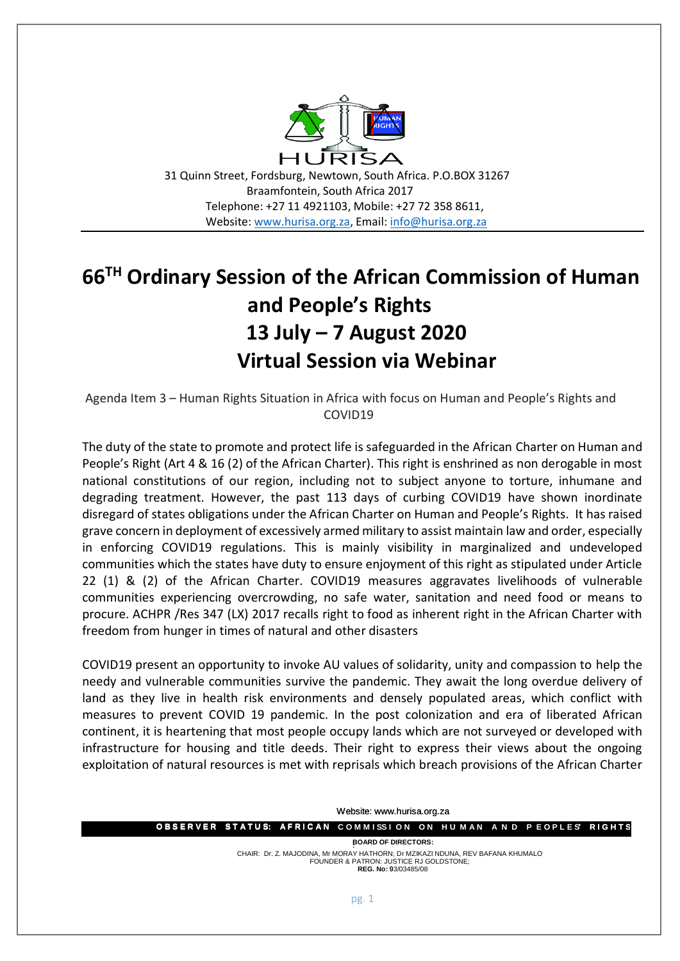

31 Quinn Street, Fordsburg, Newtown, South Africa. P.O.BOX 31267 Braamfontein, South Africa 2017 Telephone: +27 11 4921103, Mobile: +27 72 358 8611, Website[: www.hurisa.org.za,](http://www.hurisa.org.za/) Email[: info@hurisa.org.za](mailto:info@hurisa.org.za)

## **66TH Ordinary Session of the African Commission of Human and People's Rights 13 July – 7 August 2020 Virtual Session via Webinar**

Agenda Item 3 – Human Rights Situation in Africa with focus on Human and People's Rights and COVID19

The duty of the state to promote and protect life is safeguarded in the African Charter on Human and People's Right (Art 4 & 16 (2) of the African Charter). This right is enshrined as non derogable in most national constitutions of our region, including not to subject anyone to torture, inhumane and degrading treatment. However, the past 113 days of curbing COVID19 have shown inordinate disregard of states obligations under the African Charter on Human and People's Rights. It has raised grave concern in deployment of excessively armed military to assist maintain law and order, especially in enforcing COVID19 regulations. This is mainly visibility in marginalized and undeveloped communities which the states have duty to ensure enjoyment of this right as stipulated under Article 22 (1) & (2) of the African Charter. COVID19 measures aggravates livelihoods of vulnerable communities experiencing overcrowding, no safe water, sanitation and need food or means to procure. ACHPR /Res 347 (LX) 2017 recalls right to food as inherent right in the African Charter with freedom from hunger in times of natural and other disasters

COVID19 present an opportunity to invoke AU values of solidarity, unity and compassion to help the needy and vulnerable communities survive the pandemic. They await the long overdue delivery of land as they live in health risk environments and densely populated areas, which conflict with measures to prevent COVID 19 pandemic. In the post colonization and era of liberated African continent, it is heartening that most people occupy lands which are not surveyed or developed with infrastructure for housing and title deeds. Their right to express their views about the ongoing exploitation of natural resources is met with reprisals which breach provisions of the African Charter

**O B S E R V E R S T A T U S: A F R I C A N C O M M I S S I O N O N H U M A N A N D P E O P L E S' R I G H T S O B S E R V E R S T A T U S: A F R I C A N ': BOARD OF DIRECTORS:** CHAIR: Dr. Z. MAJODINA, Mr MORAY HATHORN; Dr MZIKAZI NDUNA, REV BAFANA KHUMALO . FOUNDER & PATRON: JUSTICE RJ GOLDSTONE; **REG. No:** 93/03485/08 9 Website: www.hurisa.org.za